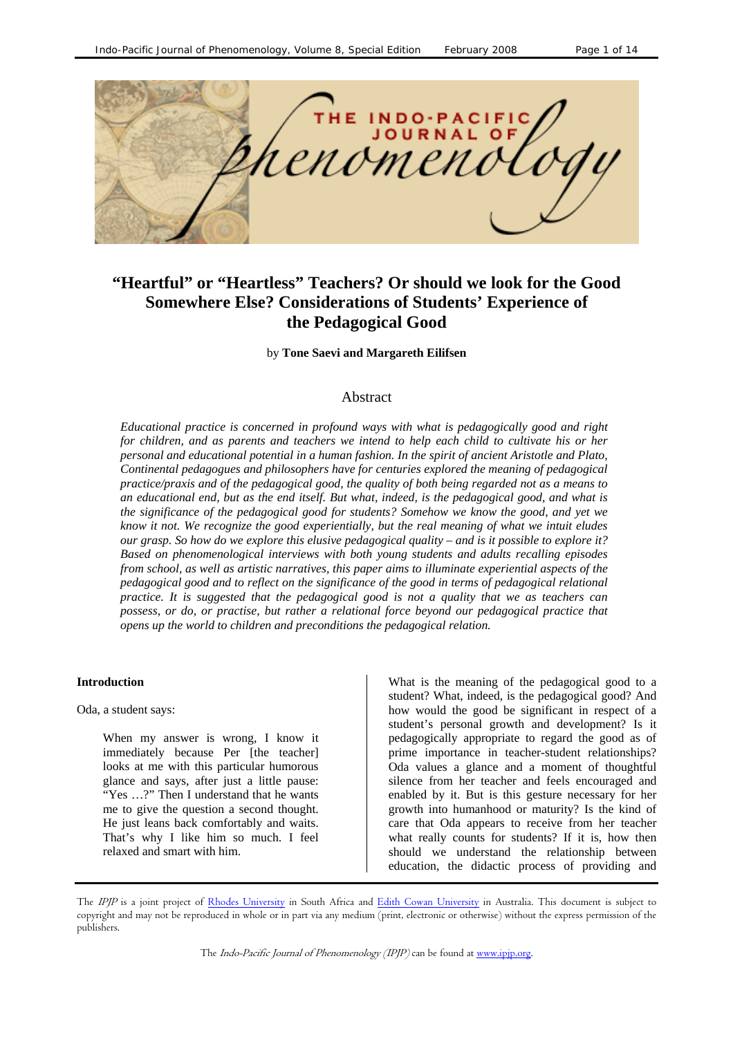

# **"Heartful" or "Heartless" Teachers? Or should we look for the Good Somewhere Else? Considerations of Students' Experience of the Pedagogical Good**

by **Tone Saevi and Margareth Eilifsen**

# Abstract

*Educational practice is concerned in profound ways with what is pedagogically good and right for children, and as parents and teachers we intend to help each child to cultivate his or her personal and educational potential in a human fashion. In the spirit of ancient Aristotle and Plato, Continental pedagogues and philosophers have for centuries explored the meaning of pedagogical practice/praxis and of the pedagogical good, the quality of both being regarded not as a means to an educational end, but as the end itself. But what, indeed, is the pedagogical good, and what is the significance of the pedagogical good for students? Somehow we know the good, and yet we know it not. We recognize the good experientially, but the real meaning of what we intuit eludes our grasp. So how do we explore this elusive pedagogical quality – and is it possible to explore it? Based on phenomenological interviews with both young students and adults recalling episodes from school, as well as artistic narratives, this paper aims to illuminate experiential aspects of the pedagogical good and to reflect on the significance of the good in terms of pedagogical relational practice. It is suggested that the pedagogical good is not a quality that we as teachers can possess, or do, or practise, but rather a relational force beyond our pedagogical practice that opens up the world to children and preconditions the pedagogical relation.* 

#### **Introduction**

Oda, a student says:

When my answer is wrong, I know it immediately because Per [the teacher] looks at me with this particular humorous glance and says, after just a little pause: "Yes ...?" Then I understand that he wants me to give the question a second thought. He just leans back comfortably and waits. That's why I like him so much. I feel relaxed and smart with him.

What is the meaning of the pedagogical good to a student? What, indeed, is the pedagogical good? And how would the good be significant in respect of a student's personal growth and development? Is it pedagogically appropriate to regard the good as of prime importance in teacher-student relationships? Oda values a glance and a moment of thoughtful silence from her teacher and feels encouraged and enabled by it. But is this gesture necessary for her growth into humanhood or maturity? Is the kind of care that Oda appears to receive from her teacher what really counts for students? If it is, how then should we understand the relationship between education, the didactic process of providing and

The IPJP is a joint project of Rhodes University in South Africa and Edith Cowan University in Australia. This document is subject to copyright and may not be reproduced in whole or in part via any medium (print, electronic or otherwise) without the express permission of the publishers.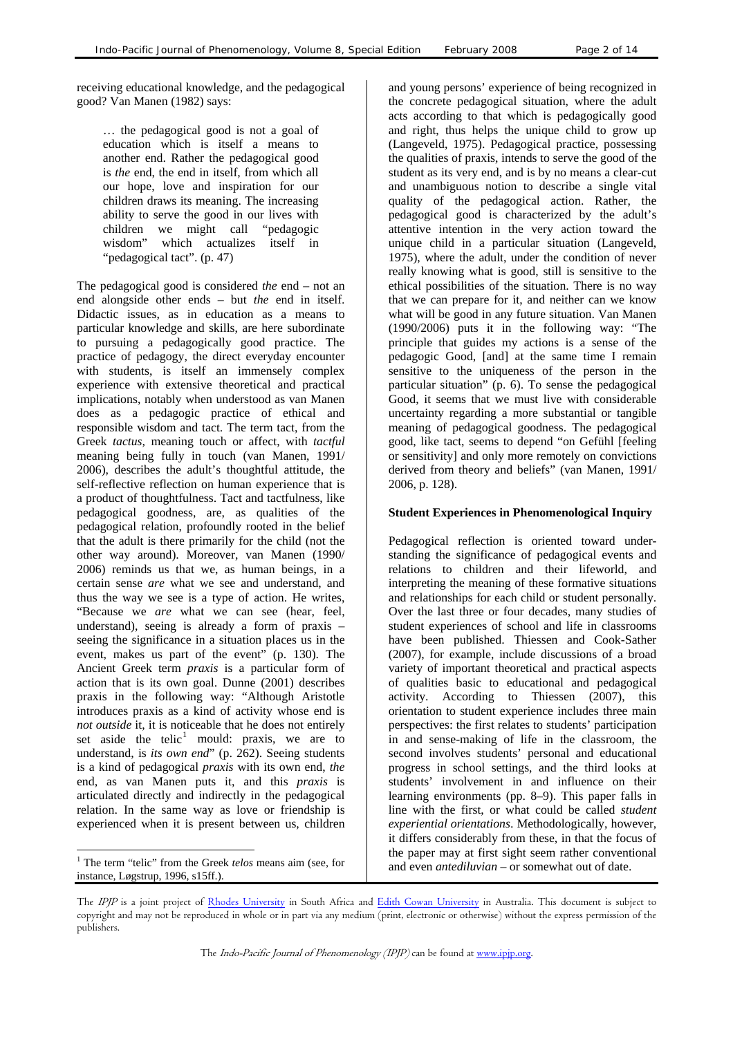receiving educational knowledge, and the pedagogical good? Van Manen (1982) says:

… the pedagogical good is not a goal of education which is itself a means to another end. Rather the pedagogical good is *the* end, the end in itself, from which all our hope, love and inspiration for our children draws its meaning. The increasing ability to serve the good in our lives with children we might call "pedagogic<br>wisdom" which actualizes itself in which actualizes itself in "pedagogical tact". (p. 47)

The pedagogical good is considered *the* end – not an end alongside other ends – but *the* end in itself. Didactic issues, as in education as a means to particular knowledge and skills, are here subordinate to pursuing a pedagogically good practice. The practice of pedagogy, the direct everyday encounter with students, is itself an immensely complex experience with extensive theoretical and practical implications, notably when understood as van Manen does as a pedagogic practice of ethical and responsible wisdom and tact. The term tact, from the Greek *tactus,* meaning touch or affect, with *tactful* meaning being fully in touch (van Manen, 1991/ 2006), describes the adult's thoughtful attitude, the self-reflective reflection on human experience that is a product of thoughtfulness. Tact and tactfulness, like pedagogical goodness, are, as qualities of the pedagogical relation, profoundly rooted in the belief that the adult is there primarily for the child (not the other way around). Moreover, van Manen (1990/ 2006) reminds us that we, as human beings, in a certain sense *are* what we see and understand, and thus the way we see is a type of action. He writes, "Because we *are* what we can see (hear, feel, understand), seeing is already a form of praxis – seeing the significance in a situation places us in the event, makes us part of the event" (p. 130). The Ancient Greek term *praxis* is a particular form of action that is its own goal. Dunne (2001) describes praxis in the following way: "Although Aristotle introduces praxis as a kind of activity whose end is *not outside* it, it is noticeable that he does not entirely set aside the telic<sup>[1](#page-1-0)</sup> mould: praxis, we are to understand, is *its own end*" (p. 262). Seeing students is a kind of pedagogical *praxis* with its own end, *the* end, as van Manen puts it, and this *praxis* is articulated directly and indirectly in the pedagogical relation. In the same way as love or friendship is experienced when it is present between us, children

 $\overline{a}$ 

and young persons' experience of being recognized in the concrete pedagogical situation, where the adult acts according to that which is pedagogically good and right, thus helps the unique child to grow up (Langeveld, 1975). Pedagogical practice, possessing the qualities of praxis, intends to serve the good of the student as its very end, and is by no means a clear-cut and unambiguous notion to describe a single vital quality of the pedagogical action. Rather, the pedagogical good is characterized by the adult's attentive intention in the very action toward the unique child in a particular situation (Langeveld, 1975), where the adult, under the condition of never really knowing what is good, still is sensitive to the ethical possibilities of the situation. There is no way that we can prepare for it, and neither can we know what will be good in any future situation. Van Manen (1990/2006) puts it in the following way: "The principle that guides my actions is a sense of the pedagogic Good, [and] at the same time I remain sensitive to the uniqueness of the person in the particular situation" (p. 6). To sense the pedagogical Good, it seems that we must live with considerable uncertainty regarding a more substantial or tangible meaning of pedagogical goodness. The pedagogical good, like tact, seems to depend "on Gefühl [feeling or sensitivity] and only more remotely on convictions derived from theory and beliefs" (van Manen, 1991/ 2006, p. 128).

#### **Student Experiences in Phenomenological Inquiry**

Pedagogical reflection is oriented toward understanding the significance of pedagogical events and relations to children and their lifeworld, and interpreting the meaning of these formative situations and relationships for each child or student personally. Over the last three or four decades, many studies of student experiences of school and life in classrooms have been published. Thiessen and Cook-Sather (2007), for example, include discussions of a broad variety of important theoretical and practical aspects of qualities basic to educational and pedagogical activity. According to Thiessen (2007), this orientation to student experience includes three main perspectives: the first relates to students' participation in and sense-making of life in the classroom, the second involves students' personal and educational progress in school settings, and the third looks at students' involvement in and influence on their learning environments (pp. 8–9). This paper falls in line with the first, or what could be called *student experiential orientations*. Methodologically, however, it differs considerably from these, in that the focus of the paper may at first sight seem rather conventional and even *antediluvian* – or somewhat out of date.

<span id="page-1-0"></span><sup>1</sup> The term "telic" from the Greek *telos* means aim (see, for instance, Løgstrup, 1996, s15ff.).

The IPJP is a joint project of Rhodes University in South Africa and Edith Cowan University in Australia. This document is subject to copyright and may not be reproduced in whole or in part via any medium (print, electronic or otherwise) without the express permission of the publishers.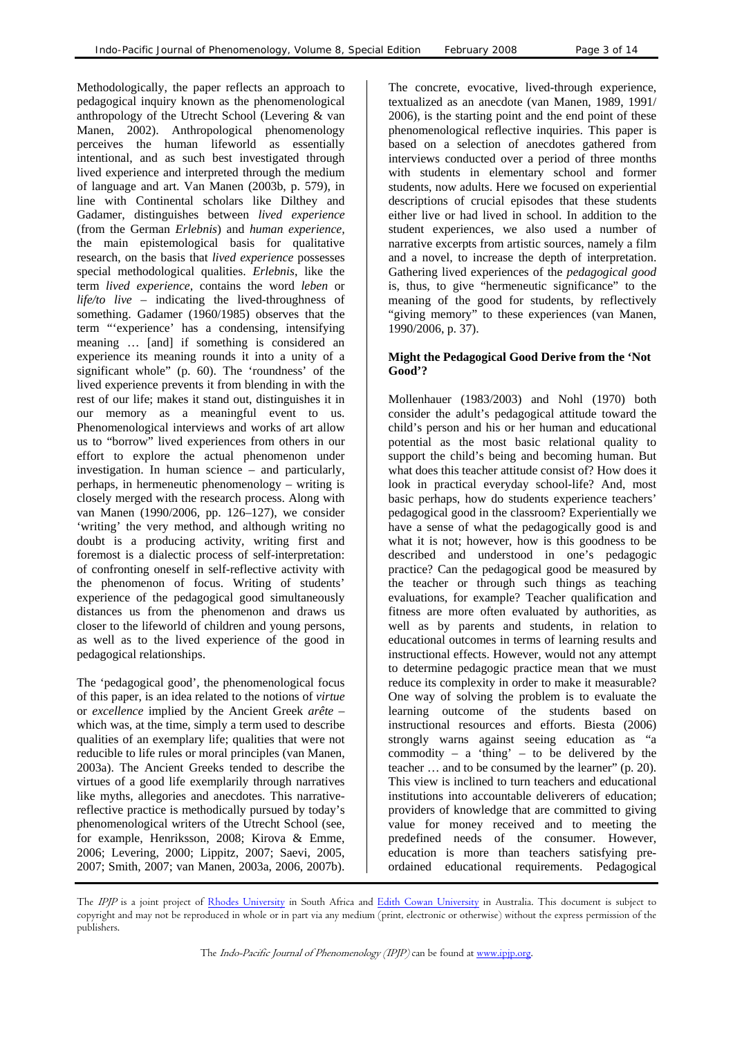Methodologically, the paper reflects an approach to pedagogical inquiry known as the phenomenological anthropology of the Utrecht School (Levering & van Manen, 2002). Anthropological phenomenology perceives the human lifeworld as essentially intentional, and as such best investigated through lived experience and interpreted through the medium of language and art. Van Manen (2003b, p. 579), in line with Continental scholars like Dilthey and Gadamer, distinguishes between *lived experience* (from the German *Erlebnis*) and *human experience,* the main epistemological basis for qualitative research, on the basis that *lived experience* possesses special methodological qualities. *Erlebnis*, like the term *lived experience*, contains the word *leben* or *life/to live* – indicating the lived-throughness of something. Gadamer (1960/1985) observes that the term "'experience' has a condensing, intensifying meaning … [and] if something is considered an experience its meaning rounds it into a unity of a significant whole" (p. 60). The 'roundness' of the lived experience prevents it from blending in with the rest of our life; makes it stand out, distinguishes it in our memory as a meaningful event to us. Phenomenological interviews and works of art allow us to "borrow" lived experiences from others in our effort to explore the actual phenomenon under investigation. In human science – and particularly, perhaps, in hermeneutic phenomenology – writing is closely merged with the research process. Along with van Manen (1990/2006, pp. 126–127), we consider 'writing' the very method, and although writing no doubt is a producing activity, writing first and foremost is a dialectic process of self-interpretation: of confronting oneself in self-reflective activity with the phenomenon of focus. Writing of students' experience of the pedagogical good simultaneously distances us from the phenomenon and draws us closer to the lifeworld of children and young persons, as well as to the lived experience of the good in pedagogical relationships.

The 'pedagogical good', the phenomenological focus of this paper, is an idea related to the notions of *virtue* or *excellence* implied by the Ancient Greek *arête* – which was, at the time, simply a term used to describe qualities of an exemplary life; qualities that were not reducible to life rules or moral principles (van Manen, 2003a). The Ancient Greeks tended to describe the virtues of a good life exemplarily through narratives like myths, allegories and anecdotes. This narrativereflective practice is methodically pursued by today's phenomenological writers of the Utrecht School (see, for example, Henriksson, 2008; Kirova & Emme, 2006; Levering, 2000; Lippitz, 2007; Saevi, 2005, 2007; Smith, 2007; van Manen, 2003a, 2006, 2007b).

The concrete, evocative, lived-through experience, textualized as an anecdote (van Manen, 1989, 1991/ 2006), is the starting point and the end point of these phenomenological reflective inquiries. This paper is based on a selection of anecdotes gathered from interviews conducted over a period of three months with students in elementary school and former students, now adults. Here we focused on experiential descriptions of crucial episodes that these students either live or had lived in school. In addition to the student experiences, we also used a number of narrative excerpts from artistic sources, namely a film and a novel, to increase the depth of interpretation. Gathering lived experiences of the *pedagogical good* is, thus, to give "hermeneutic significance" to the meaning of the good for students, by reflectively "giving memory" to these experiences (van Manen, 1990/2006, p. 37).

# **Might the Pedagogical Good Derive from the 'Not Good'?**

Mollenhauer (1983/2003) and Nohl (1970) both consider the adult's pedagogical attitude toward the child's person and his or her human and educational potential as the most basic relational quality to support the child's being and becoming human. But what does this teacher attitude consist of? How does it look in practical everyday school-life? And, most basic perhaps, how do students experience teachers' pedagogical good in the classroom? Experientially we have a sense of what the pedagogically good is and what it is not; however, how is this goodness to be described and understood in one's pedagogic practice? Can the pedagogical good be measured by the teacher or through such things as teaching evaluations, for example? Teacher qualification and fitness are more often evaluated by authorities, as well as by parents and students, in relation to educational outcomes in terms of learning results and instructional effects. However, would not any attempt to determine pedagogic practice mean that we must reduce its complexity in order to make it measurable? One way of solving the problem is to evaluate the learning outcome of the students based on instructional resources and efforts. Biesta (2006) strongly warns against seeing education as "a commodity –  $a$  'thing' – to be delivered by the teacher … and to be consumed by the learner" (p. 20). This view is inclined to turn teachers and educational institutions into accountable deliverers of education; providers of knowledge that are committed to giving value for money received and to meeting the predefined needs of the consumer. However, education is more than teachers satisfying preordained educational requirements. Pedagogical

The IPJP is a joint project of Rhodes University in South Africa and Edith Cowan University in Australia. This document is subject to copyright and may not be reproduced in whole or in part via any medium (print, electronic or otherwise) without the express permission of the publishers.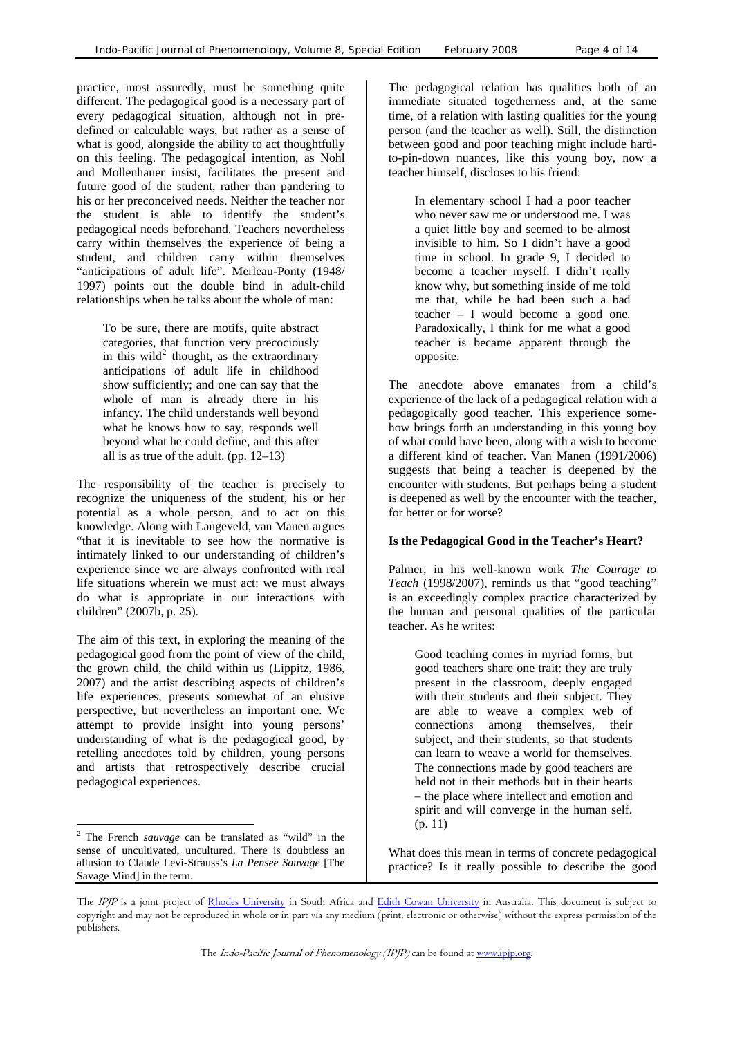practice, most assuredly, must be something quite different. The pedagogical good is a necessary part of every pedagogical situation, although not in predefined or calculable ways, but rather as a sense of what is good, alongside the ability to act thoughtfully on this feeling. The pedagogical intention, as Nohl and Mollenhauer insist, facilitates the present and future good of the student, rather than pandering to his or her preconceived needs. Neither the teacher nor the student is able to identify the student's pedagogical needs beforehand. Teachers nevertheless carry within themselves the experience of being a student, and children carry within themselves "anticipations of adult life". Merleau-Ponty (1948/ 1997) points out the double bind in adult-child relationships when he talks about the whole of man:

To be sure, there are motifs, quite abstract categories, that function very precociously in this wild<sup>[2](#page-3-0)</sup> thought, as the extraordinary anticipations of adult life in childhood show sufficiently; and one can say that the whole of man is already there in his infancy. The child understands well beyond what he knows how to say, responds well beyond what he could define, and this after all is as true of the adult. (pp. 12–13)

The responsibility of the teacher is precisely to recognize the uniqueness of the student, his or her potential as a whole person, and to act on this knowledge. Along with Langeveld, van Manen argues "that it is inevitable to see how the normative is intimately linked to our understanding of children's experience since we are always confronted with real life situations wherein we must act: we must always do what is appropriate in our interactions with children" (2007b, p. 25).

The aim of this text, in exploring the meaning of the pedagogical good from the point of view of the child, the grown child, the child within us (Lippitz, 1986, 2007) and the artist describing aspects of children's life experiences, presents somewhat of an elusive perspective, but nevertheless an important one. We attempt to provide insight into young persons' understanding of what is the pedagogical good, by retelling anecdotes told by children, young persons and artists that retrospectively describe crucial pedagogical experiences.

The pedagogical relation has qualities both of an immediate situated togetherness and, at the same time, of a relation with lasting qualities for the young person (and the teacher as well). Still, the distinction between good and poor teaching might include hardto-pin-down nuances, like this young boy, now a teacher himself, discloses to his friend:

In elementary school I had a poor teacher who never saw me or understood me. I was a quiet little boy and seemed to be almost invisible to him. So I didn't have a good time in school. In grade 9, I decided to become a teacher myself. I didn't really know why, but something inside of me told me that, while he had been such a bad teacher – I would become a good one. Paradoxically, I think for me what a good teacher is became apparent through the opposite.

The anecdote above emanates from a child's experience of the lack of a pedagogical relation with a pedagogically good teacher. This experience somehow brings forth an understanding in this young boy of what could have been, along with a wish to become a different kind of teacher. Van Manen (1991/2006) suggests that being a teacher is deepened by the encounter with students. But perhaps being a student is deepened as well by the encounter with the teacher, for better or for worse?

## **Is the Pedagogical Good in the Teacher's Heart?**

Palmer, in his well-known work *The Courage to Teach* (1998/2007), reminds us that "good teaching" is an exceedingly complex practice characterized by the human and personal qualities of the particular teacher. As he writes:

Good teaching comes in myriad forms, but good teachers share one trait: they are truly present in the classroom, deeply engaged with their students and their subject. They are able to weave a complex web of connections among themselves, their subject, and their students, so that students can learn to weave a world for themselves. The connections made by good teachers are held not in their methods but in their hearts – the place where intellect and emotion and spirit and will converge in the human self. (p. 11)

What does this mean in terms of concrete pedagogical practice? Is it really possible to describe the good

<span id="page-3-0"></span><sup>&</sup>lt;sup>2</sup> The French *sauvage* can be translated as "wild" in the sense of uncultivated, uncultured. There is doubtless an allusion to Claude Levi-Strauss's *La Pensee Sauvage* [The Savage Mind] in the term.

The IPJP is a joint project of Rhodes University in South Africa and Edith Cowan University in Australia. This document is subject to copyright and may not be reproduced in whole or in part via any medium (print, electronic or otherwise) without the express permission of the publishers.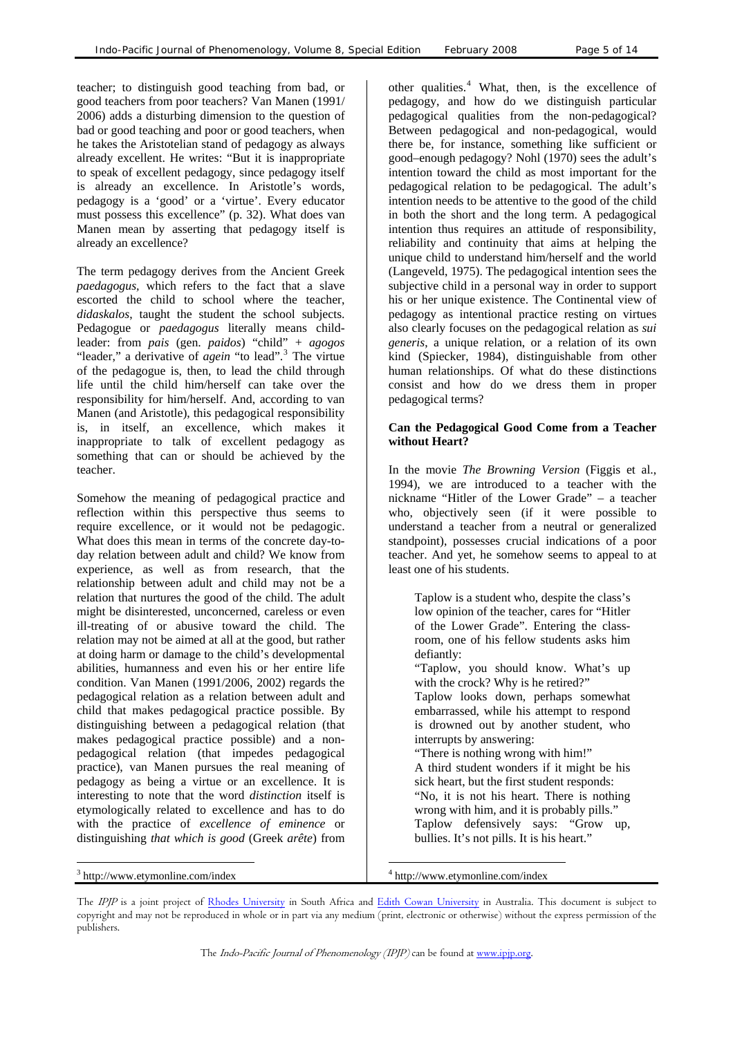teacher; to distinguish good teaching from bad, or good teachers from poor teachers? Van Manen (1991/ 2006) adds a disturbing dimension to the question of bad or good teaching and poor or good teachers, when he takes the Aristotelian stand of pedagogy as always already excellent. He writes: "But it is inappropriate to speak of excellent pedagogy, since pedagogy itself is already an excellence. In Aristotle's words, pedagogy is a 'good' or a 'virtue'. Every educator must possess this excellence" (p. 32). What does van Manen mean by asserting that pedagogy itself is already an excellence?

The term pedagogy derives from the Ancient Greek *paedagogus,* which refers to the fact that a slave escorted the child to school where the teacher, *didaskalos*, taught the student the school subjects. Pedagogue or *paedagogus* literally means childleader: from *pais* (gen. *paidos*) "child" + *agogos* "leader," a derivative of *agein* "to lead".<sup>[3](#page-4-0)</sup> The virtue of the pedagogue is, then, to lead the child through life until the child him/herself can take over the responsibility for him/herself. And, according to van Manen (and Aristotle), this pedagogical responsibility is, in itself, an excellence, which makes it inappropriate to talk of excellent pedagogy as something that can or should be achieved by the teacher.

Somehow the meaning of pedagogical practice and reflection within this perspective thus seems to require excellence, or it would not be pedagogic. What does this mean in terms of the concrete day-today relation between adult and child? We know from experience, as well as from research, that the relationship between adult and child may not be a relation that nurtures the good of the child. The adult might be disinterested, unconcerned, careless or even ill-treating of or abusive toward the child. The relation may not be aimed at all at the good, but rather at doing harm or damage to the child's developmental abilities, humanness and even his or her entire life condition. Van Manen (1991/2006, 2002) regards the pedagogical relation as a relation between adult and child that makes pedagogical practice possible. By distinguishing between a pedagogical relation (that makes pedagogical practice possible) and a nonpedagogical relation (that impedes pedagogical practice), van Manen pursues the real meaning of pedagogy as being a virtue or an excellence. It is interesting to note that the word *distinction* itself is etymologically related to excellence and has to do with the practice of *excellence of eminence* or distinguishing *that which is good* (Greek *arête*) from

other qualities.<sup>[4](#page-4-0)</sup> What, then, is the excellence of pedagogy, and how do we distinguish particular pedagogical qualities from the non-pedagogical? Between pedagogical and non-pedagogical, would there be, for instance, something like sufficient or good–enough pedagogy? Nohl (1970) sees the adult's intention toward the child as most important for the pedagogical relation to be pedagogical. The adult's intention needs to be attentive to the good of the child in both the short and the long term. A pedagogical intention thus requires an attitude of responsibility, reliability and continuity that aims at helping the unique child to understand him/herself and the world (Langeveld, 1975). The pedagogical intention sees the subjective child in a personal way in order to support his or her unique existence. The Continental view of pedagogy as intentional practice resting on virtues also clearly focuses on the pedagogical relation as *sui generis*, a unique relation, or a relation of its own kind (Spiecker, 1984), distinguishable from other human relationships. Of what do these distinctions consist and how do we dress them in proper pedagogical terms?

# **Can the Pedagogical Good Come from a Teacher without Heart?**

In the movie *The Browning Version* (Figgis et al., 1994), we are introduced to a teacher with the nickname "Hitler of the Lower Grade" – a teacher who, objectively seen (if it were possible to understand a teacher from a neutral or generalized standpoint), possesses crucial indications of a poor teacher. And yet, he somehow seems to appeal to at least one of his students.

Taplow is a student who, despite the class's low opinion of the teacher, cares for "Hitler of the Lower Grade". Entering the classroom, one of his fellow students asks him defiantly: "Taplow, you should know. What's up with the crock? Why is he retired?" Taplow looks down, perhaps somewhat embarrassed, while his attempt to respond is drowned out by another student, who interrupts by answering: "There is nothing wrong with him!" A third student wonders if it might be his sick heart, but the first student responds: "No, it is not his heart. There is nothing wrong with him, and it is probably pills." Taplow defensively says: "Grow up, bullies. It's not pills. It is his heart."

<span id="page-4-0"></span> 3 http://www.etymonline.com/index

4 http://www.etymonline.com/index

The IPJP is a joint project of Rhodes University in South Africa and Edith Cowan University in Australia. This document is subject to copyright and may not be reproduced in whole or in part via any medium (print, electronic or otherwise) without the express permission of the publishers.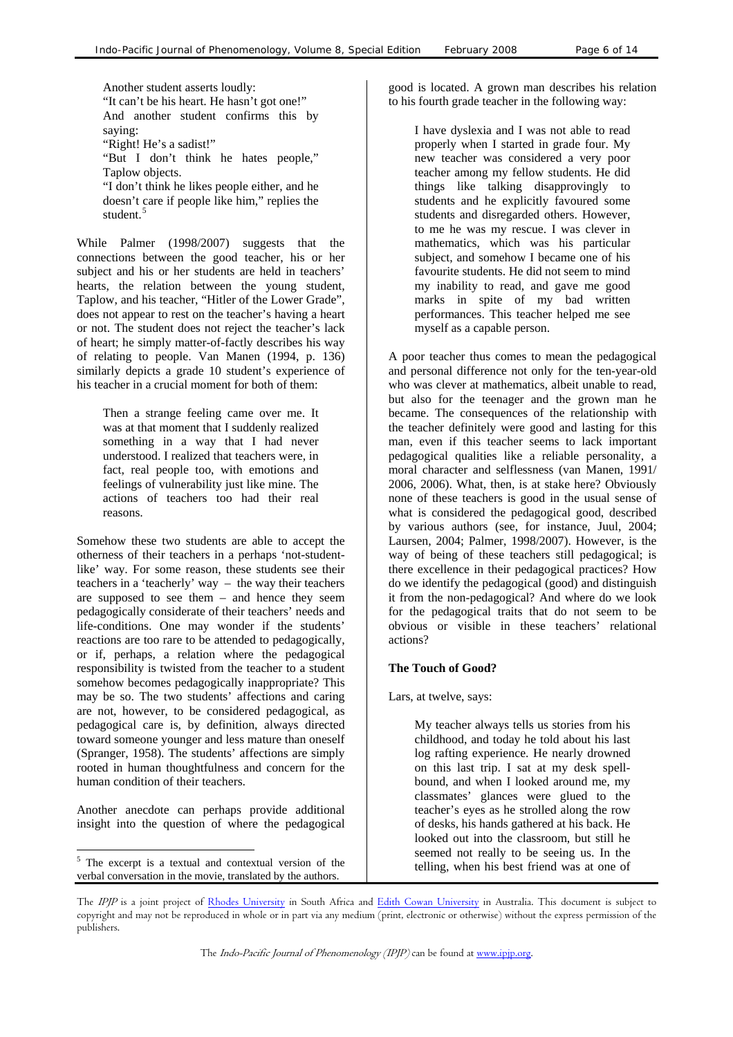Another student asserts loudly: "It can't be his heart. He hasn't got one!" And another student confirms this by saying: "Right! He's a sadist!" "But I don't think he hates people," Taplow objects. "I don't think he likes people either, and he doesn't care if people like him," replies the student.<sup>[5](#page-5-0)</sup>

While Palmer (1998/2007) suggests that the connections between the good teacher, his or her subject and his or her students are held in teachers' hearts, the relation between the young student, Taplow, and his teacher, "Hitler of the Lower Grade", does not appear to rest on the teacher's having a heart or not. The student does not reject the teacher's lack of heart; he simply matter-of-factly describes his way of relating to people. Van Manen (1994, p. 136) similarly depicts a grade 10 student's experience of his teacher in a crucial moment for both of them:

Then a strange feeling came over me. It was at that moment that I suddenly realized something in a way that I had never understood. I realized that teachers were, in fact, real people too, with emotions and feelings of vulnerability just like mine. The actions of teachers too had their real reasons.

Somehow these two students are able to accept the otherness of their teachers in a perhaps 'not-studentlike' way. For some reason, these students see their teachers in a 'teacherly' way – the way their teachers are supposed to see them – and hence they seem pedagogically considerate of their teachers' needs and life-conditions. One may wonder if the students' reactions are too rare to be attended to pedagogically, or if, perhaps, a relation where the pedagogical responsibility is twisted from the teacher to a student somehow becomes pedagogically inappropriate? This may be so. The two students' affections and caring are not, however, to be considered pedagogical, as pedagogical care is, by definition, always directed toward someone younger and less mature than oneself (Spranger, 1958). The students' affections are simply rooted in human thoughtfulness and concern for the human condition of their teachers.

Another anecdote can perhaps provide additional insight into the question of where the pedagogical

<span id="page-5-0"></span><sup>5</sup> The excerpt is a textual and contextual version of the verbal conversation in the movie, translated by the authors.

 $\overline{a}$ 

good is located. A grown man describes his relation to his fourth grade teacher in the following way:

I have dyslexia and I was not able to read properly when I started in grade four. My new teacher was considered a very poor teacher among my fellow students. He did things like talking disapprovingly to students and he explicitly favoured some students and disregarded others. However, to me he was my rescue. I was clever in mathematics, which was his particular subject, and somehow I became one of his favourite students. He did not seem to mind my inability to read, and gave me good marks in spite of my bad written performances. This teacher helped me see myself as a capable person.

A poor teacher thus comes to mean the pedagogical and personal difference not only for the ten-year-old who was clever at mathematics, albeit unable to read, but also for the teenager and the grown man he became. The consequences of the relationship with the teacher definitely were good and lasting for this man, even if this teacher seems to lack important pedagogical qualities like a reliable personality, a moral character and selflessness (van Manen, 1991/ 2006, 2006). What, then, is at stake here? Obviously none of these teachers is good in the usual sense of what is considered the pedagogical good, described by various authors (see, for instance, Juul, 2004; Laursen, 2004; Palmer, 1998/2007). However, is the way of being of these teachers still pedagogical; is there excellence in their pedagogical practices? How do we identify the pedagogical (good) and distinguish it from the non-pedagogical? And where do we look for the pedagogical traits that do not seem to be obvious or visible in these teachers' relational actions?

#### **The Touch of Good?**

Lars, at twelve, says:

My teacher always tells us stories from his childhood, and today he told about his last log rafting experience. He nearly drowned on this last trip. I sat at my desk spellbound, and when I looked around me, my classmates' glances were glued to the teacher's eyes as he strolled along the row of desks, his hands gathered at his back. He looked out into the classroom, but still he seemed not really to be seeing us. In the telling, when his best friend was at one of

The IPJP is a joint project of Rhodes University in South Africa and Edith Cowan University in Australia. This document is subject to copyright and may not be reproduced in whole or in part via any medium (print, electronic or otherwise) without the express permission of the publishers.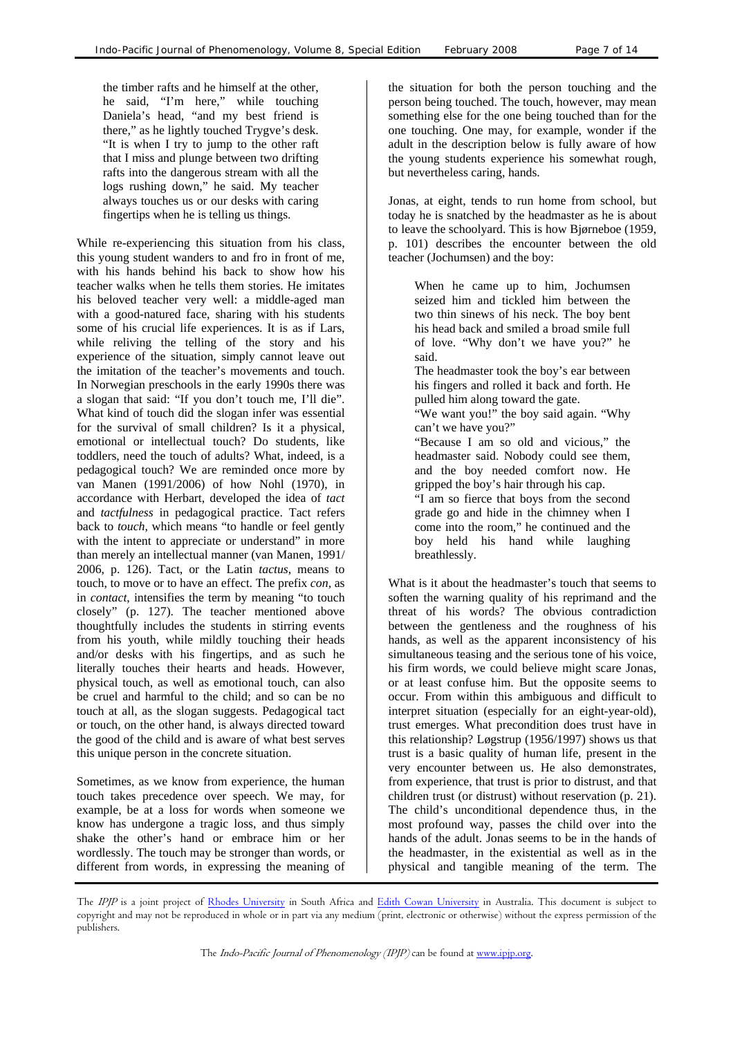the timber rafts and he himself at the other, he said, "I'm here," while touching Daniela's head, "and my best friend is there," as he lightly touched Trygve's desk. "It is when I try to jump to the other raft that I miss and plunge between two drifting rafts into the dangerous stream with all the logs rushing down," he said. My teacher always touches us or our desks with caring fingertips when he is telling us things.

While re-experiencing this situation from his class, this young student wanders to and fro in front of me, with his hands behind his back to show how his teacher walks when he tells them stories. He imitates his beloved teacher very well: a middle-aged man with a good-natured face, sharing with his students some of his crucial life experiences. It is as if Lars, while reliving the telling of the story and his experience of the situation, simply cannot leave out the imitation of the teacher's movements and touch. In Norwegian preschools in the early 1990s there was a slogan that said: "If you don't touch me, I'll die". What kind of touch did the slogan infer was essential for the survival of small children? Is it a physical, emotional or intellectual touch? Do students, like toddlers, need the touch of adults? What, indeed, is a pedagogical touch? We are reminded once more by van Manen (1991/2006) of how Nohl (1970), in accordance with Herbart, developed the idea of *tact* and *tactfulness* in pedagogical practice. Tact refers back to *touch*, which means "to handle or feel gently with the intent to appreciate or understand" in more than merely an intellectual manner (van Manen, 1991/ 2006, p. 126). Tact, or the Latin *tactus*, means to touch, to move or to have an effect. The prefix *con,* as in *contact*, intensifies the term by meaning "to touch closely" (p. 127). The teacher mentioned above thoughtfully includes the students in stirring events from his youth, while mildly touching their heads and/or desks with his fingertips, and as such he literally touches their hearts and heads. However, physical touch, as well as emotional touch, can also be cruel and harmful to the child; and so can be no touch at all, as the slogan suggests. Pedagogical tact or touch, on the other hand, is always directed toward the good of the child and is aware of what best serves this unique person in the concrete situation.

Sometimes, as we know from experience, the human touch takes precedence over speech. We may, for example, be at a loss for words when someone we know has undergone a tragic loss, and thus simply shake the other's hand or embrace him or her wordlessly. The touch may be stronger than words, or different from words, in expressing the meaning of

the situation for both the person touching and the person being touched. The touch, however, may mean something else for the one being touched than for the one touching. One may, for example, wonder if the adult in the description below is fully aware of how the young students experience his somewhat rough, but nevertheless caring, hands.

Jonas, at eight, tends to run home from school, but today he is snatched by the headmaster as he is about to leave the schoolyard. This is how Bjørneboe (1959, p. 101) describes the encounter between the old teacher (Jochumsen) and the boy:

When he came up to him, Jochumsen seized him and tickled him between the two thin sinews of his neck. The boy bent his head back and smiled a broad smile full of love. "Why don't we have you?" he said.

The headmaster took the boy's ear between his fingers and rolled it back and forth. He pulled him along toward the gate.

"We want you!" the boy said again. "Why can't we have you?"

"Because I am so old and vicious," the headmaster said. Nobody could see them, and the boy needed comfort now. He gripped the boy's hair through his cap.

"I am so fierce that boys from the second grade go and hide in the chimney when I come into the room," he continued and the boy held his hand while laughing breathlessly.

What is it about the headmaster's touch that seems to soften the warning quality of his reprimand and the threat of his words? The obvious contradiction between the gentleness and the roughness of his hands, as well as the apparent inconsistency of his simultaneous teasing and the serious tone of his voice, his firm words, we could believe might scare Jonas, or at least confuse him. But the opposite seems to occur. From within this ambiguous and difficult to interpret situation (especially for an eight-year-old), trust emerges. What precondition does trust have in this relationship? Løgstrup (1956/1997) shows us that trust is a basic quality of human life, present in the very encounter between us. He also demonstrates, from experience, that trust is prior to distrust, and that children trust (or distrust) without reservation (p. 21). The child's unconditional dependence thus, in the most profound way, passes the child over into the hands of the adult. Jonas seems to be in the hands of the headmaster, in the existential as well as in the physical and tangible meaning of the term. The

The IPJP is a joint project of Rhodes University in South Africa and Edith Cowan University in Australia. This document is subject to copyright and may not be reproduced in whole or in part via any medium (print, electronic or otherwise) without the express permission of the publishers.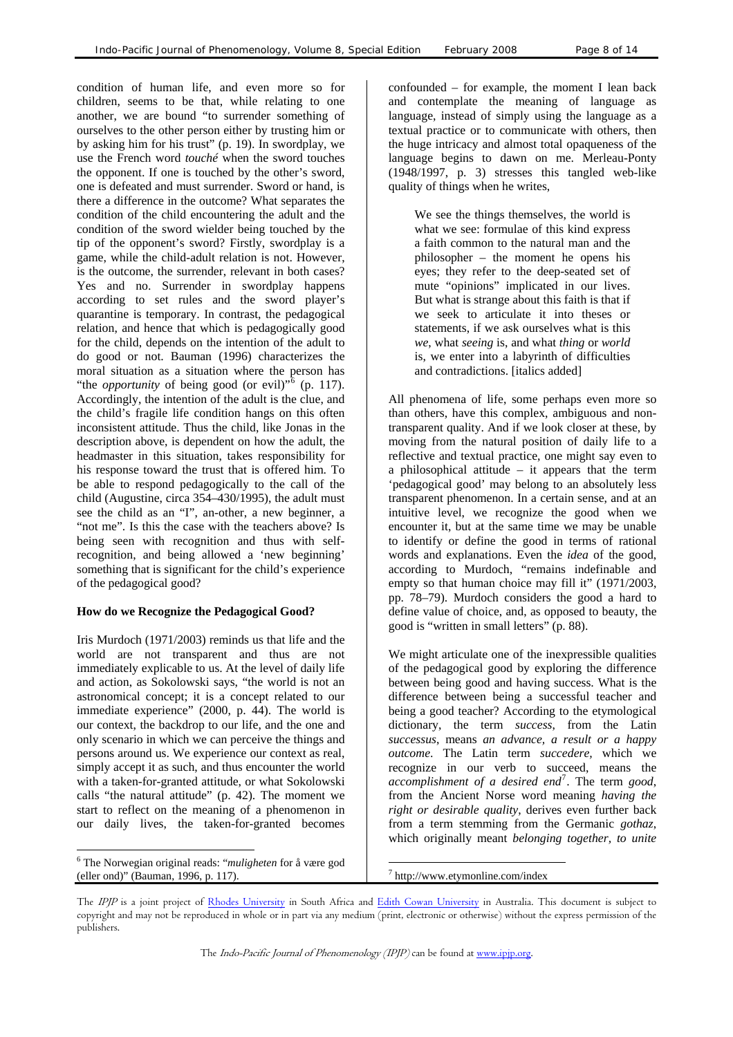condition of human life, and even more so for children, seems to be that, while relating to one another, we are bound "to surrender something of ourselves to the other person either by trusting him or by asking him for his trust" (p. 19). In swordplay, we use the French word *touché* when the sword touches the opponent. If one is touched by the other's sword, one is defeated and must surrender. Sword or hand, is there a difference in the outcome? What separates the condition of the child encountering the adult and the condition of the sword wielder being touched by the tip of the opponent's sword? Firstly, swordplay is a game, while the child-adult relation is not. However, is the outcome, the surrender, relevant in both cases? Yes and no. Surrender in swordplay happens according to set rules and the sword player's quarantine is temporary. In contrast, the pedagogical relation, and hence that which is pedagogically good for the child, depends on the intention of the adult to do good or not. Bauman (1996) characterizes the moral situation as a situation where the person has "the *opportunity* of being good (or evil)"<sup>[6](#page-7-0)</sup> (p. 117). Accordingly, the intention of the adult is the clue, and the child's fragile life condition hangs on this often inconsistent attitude. Thus the child, like Jonas in the description above, is dependent on how the adult, the headmaster in this situation, takes responsibility for his response toward the trust that is offered him. To be able to respond pedagogically to the call of the child (Augustine, circa 354–430/1995), the adult must see the child as an "I", an-other, a new beginner, a "not me". Is this the case with the teachers above? Is being seen with recognition and thus with selfrecognition, and being allowed a 'new beginning' something that is significant for the child's experience of the pedagogical good?

## **How do we Recognize the Pedagogical Good?**

Iris Murdoch (1971/2003) reminds us that life and the world are not transparent and thus are not immediately explicable to us. At the level of daily life and action, as Sokolowski says, "the world is not an astronomical concept; it is a concept related to our immediate experience" (2000, p. 44). The world is our context, the backdrop to our life, and the one and only scenario in which we can perceive the things and persons around us. We experience our context as real, simply accept it as such, and thus encounter the world with a taken-for-granted attitude, or what Sokolowski calls "the natural attitude" (p. 42). The moment we start to reflect on the meaning of a phenomenon in our daily lives, the taken-for-granted becomes

confounded – for example, the moment I lean back and contemplate the meaning of language as language, instead of simply using the language as a textual practice or to communicate with others, then the huge intricacy and almost total opaqueness of the language begins to dawn on me. Merleau-Ponty (1948/1997, p. 3) stresses this tangled web-like quality of things when he writes,

We see the things themselves, the world is what we see: formulae of this kind express a faith common to the natural man and the philosopher – the moment he opens his eyes; they refer to the deep-seated set of mute "opinions" implicated in our lives. But what is strange about this faith is that if we seek to articulate it into theses or statements, if we ask ourselves what is this *we*, what *seeing* is, and what *thing* or *world* is, we enter into a labyrinth of difficulties and contradictions. [italics added]

All phenomena of life, some perhaps even more so than others, have this complex, ambiguous and nontransparent quality. And if we look closer at these, by moving from the natural position of daily life to a reflective and textual practice, one might say even to a philosophical attitude  $-$  it appears that the term 'pedagogical good' may belong to an absolutely less transparent phenomenon. In a certain sense, and at an intuitive level, we recognize the good when we encounter it, but at the same time we may be unable to identify or define the good in terms of rational words and explanations. Even the *idea* of the good, according to Murdoch, "remains indefinable and empty so that human choice may fill it" (1971/2003, pp. 78–79). Murdoch considers the good a hard to define value of choice, and, as opposed to beauty, the good is "written in small letters" (p. 88).

We might articulate one of the inexpressible qualities of the pedagogical good by exploring the difference between being good and having success. What is the difference between being a successful teacher and being a good teacher? According to the etymological dictionary, the term *success*, from the Latin *successus*, means *an advance, a result or a happy outcome*. The Latin term *succedere,* which we recognize in our verb to succeed, means the *accomplishment of a desired end*[7](#page-7-1) . The term *good*, from the Ancient Norse word meaning *having the right or desirable quality*, derives even further back from a term stemming from the Germanic *gothaz*, which originally meant *belonging together, to unite* 

<span id="page-7-1"></span><span id="page-7-0"></span> 6 The Norwegian original reads: "*muligheten* for å være god (eller ond)" (Bauman, 1996, p. 117).

 $\overline{a}$ 

7 http://www.etymonline.com/index

The IPJP is a joint project of Rhodes University in South Africa and Edith Cowan University in Australia. This document is subject to copyright and may not be reproduced in whole or in part via any medium (print, electronic or otherwise) without the express permission of the publishers.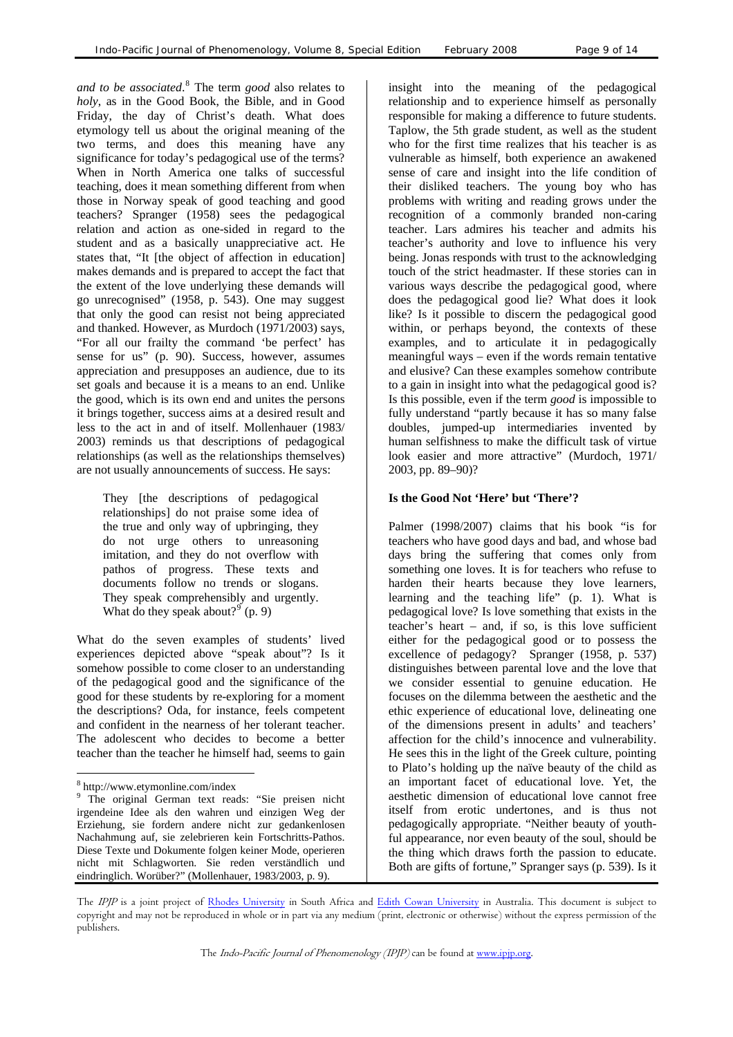*and to be associated*. [8](#page-8-0) The term *good* also relates to *holy*, as in the Good Book, the Bible, and in Good Friday, the day of Christ's death. What does etymology tell us about the original meaning of the two terms, and does this meaning have any significance for today's pedagogical use of the terms? When in North America one talks of successful teaching, does it mean something different from when those in Norway speak of good teaching and good teachers? Spranger (1958) sees the pedagogical relation and action as one-sided in regard to the student and as a basically unappreciative act. He states that, "It [the object of affection in education] makes demands and is prepared to accept the fact that the extent of the love underlying these demands will go unrecognised" (1958, p. 543). One may suggest that only the good can resist not being appreciated and thanked. However, as Murdoch (1971/2003) says, "For all our frailty the command 'be perfect' has sense for us" (p. 90). Success, however, assumes appreciation and presupposes an audience, due to its set goals and because it is a means to an end. Unlike the good, which is its own end and unites the persons it brings together, success aims at a desired result and less to the act in and of itself. Mollenhauer (1983/ 2003) reminds us that descriptions of pedagogical relationships (as well as the relationships themselves) are not usually announcements of success. He says:

They [the descriptions of pedagogical] relationships] do not praise some idea of the true and only way of upbringing, they do not urge others to unreasoning imitation, and they do not overflow with pathos of progress. These texts and documents follow no trends or slogans. They speak comprehensibly and urgently. What do they speak about?<sup>[9](#page-8-1)</sup> (p. 9)

What do the seven examples of students' lived experiences depicted above "speak about"? Is it somehow possible to come closer to an understanding of the pedagogical good and the significance of the good for these students by re-exploring for a moment the descriptions? Oda, for instance, feels competent and confident in the nearness of her tolerant teacher. The adolescent who decides to become a better teacher than the teacher he himself had, seems to gain

 $\overline{a}$ 

insight into the meaning of the pedagogical relationship and to experience himself as personally responsible for making a difference to future students. Taplow, the 5th grade student, as well as the student who for the first time realizes that his teacher is as vulnerable as himself, both experience an awakened sense of care and insight into the life condition of their disliked teachers. The young boy who has problems with writing and reading grows under the recognition of a commonly branded non-caring teacher. Lars admires his teacher and admits his teacher's authority and love to influence his very being. Jonas responds with trust to the acknowledging touch of the strict headmaster. If these stories can in various ways describe the pedagogical good, where does the pedagogical good lie? What does it look like? Is it possible to discern the pedagogical good within, or perhaps beyond, the contexts of these examples, and to articulate it in pedagogically meaningful ways – even if the words remain tentative and elusive? Can these examples somehow contribute to a gain in insight into what the pedagogical good is? Is this possible, even if the term *good* is impossible to fully understand "partly because it has so many false doubles, jumped-up intermediaries invented by human selfishness to make the difficult task of virtue look easier and more attractive" (Murdoch, 1971/ 2003, pp. 89–90)?

## **Is the Good Not 'Here' but 'There'?**

Palmer (1998/2007) claims that his book "is for teachers who have good days and bad, and whose bad days bring the suffering that comes only from something one loves. It is for teachers who refuse to harden their hearts because they love learners, learning and the teaching life" (p. 1). What is pedagogical love? Is love something that exists in the teacher's heart – and, if so, is this love sufficient either for the pedagogical good or to possess the excellence of pedagogy? Spranger (1958, p. 537) distinguishes between parental love and the love that we consider essential to genuine education. He focuses on the dilemma between the aesthetic and the ethic experience of educational love, delineating one of the dimensions present in adults' and teachers' affection for the child's innocence and vulnerability. He sees this in the light of the Greek culture, pointing to Plato's holding up the naïve beauty of the child as an important facet of educational love. Yet, the aesthetic dimension of educational love cannot free itself from erotic undertones, and is thus not pedagogically appropriate. "Neither beauty of youthful appearance, nor even beauty of the soul, should be the thing which draws forth the passion to educate. Both are gifts of fortune," Spranger says (p. 539). Is it

The IPJP is a joint project of Rhodes University in South Africa and Edith Cowan University in Australia. This document is subject to copyright and may not be reproduced in whole or in part via any medium (print, electronic or otherwise) without the express permission of the publishers.

<sup>8</sup> http://www.etymonline.com/index

<span id="page-8-1"></span><span id="page-8-0"></span><sup>9</sup> The original German text reads: "Sie preisen nicht irgendeine Idee als den wahren und einzigen Weg der Erziehung, sie fordern andere nicht zur gedankenlosen Nachahmung auf, sie zelebrieren kein Fortschritts-Pathos. Diese Texte und Dokumente folgen keiner Mode, operieren nicht mit Schlagworten. Sie reden verständlich und eindringlich. Worüber?" (Mollenhauer, 1983/2003, p. 9).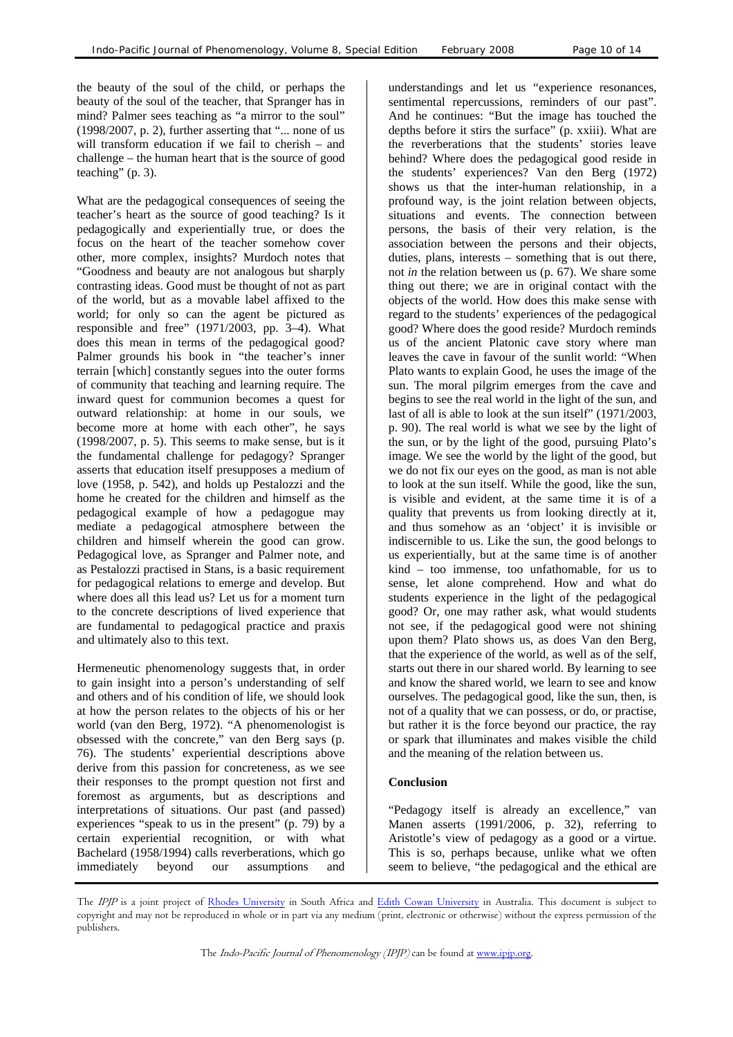the beauty of the soul of the child, or perhaps the beauty of the soul of the teacher, that Spranger has in mind? Palmer sees teaching as "a mirror to the soul" (1998/2007, p. 2), further asserting that "... none of us will transform education if we fail to cherish – and challenge – the human heart that is the source of good teaching" (p. 3).

What are the pedagogical consequences of seeing the teacher's heart as the source of good teaching? Is it pedagogically and experientially true, or does the focus on the heart of the teacher somehow cover other, more complex, insights? Murdoch notes that "Goodness and beauty are not analogous but sharply contrasting ideas. Good must be thought of not as part of the world, but as a movable label affixed to the world; for only so can the agent be pictured as responsible and free" (1971/2003, pp. 3–4). What does this mean in terms of the pedagogical good? Palmer grounds his book in "the teacher's inner terrain [which] constantly segues into the outer forms of community that teaching and learning require. The inward quest for communion becomes a quest for outward relationship: at home in our souls, we become more at home with each other", he says (1998/2007, p. 5). This seems to make sense, but is it the fundamental challenge for pedagogy? Spranger asserts that education itself presupposes a medium of love (1958, p. 542), and holds up Pestalozzi and the home he created for the children and himself as the pedagogical example of how a pedagogue may mediate a pedagogical atmosphere between the children and himself wherein the good can grow. Pedagogical love, as Spranger and Palmer note, and as Pestalozzi practised in Stans, is a basic requirement for pedagogical relations to emerge and develop. But where does all this lead us? Let us for a moment turn to the concrete descriptions of lived experience that are fundamental to pedagogical practice and praxis and ultimately also to this text.

Hermeneutic phenomenology suggests that, in order to gain insight into a person's understanding of self and others and of his condition of life, we should look at how the person relates to the objects of his or her world (van den Berg, 1972). "A phenomenologist is obsessed with the concrete," van den Berg says (p. 76). The students' experiential descriptions above derive from this passion for concreteness, as we see their responses to the prompt question not first and foremost as arguments, but as descriptions and interpretations of situations. Our past (and passed) experiences "speak to us in the present" (p. 79) by a certain experiential recognition, or with what Bachelard (1958/1994) calls reverberations, which go immediately beyond our assumptions and

understandings and let us "experience resonances, sentimental repercussions, reminders of our past". And he continues: "But the image has touched the depths before it stirs the surface" (p. xxiii). What are the reverberations that the students' stories leave behind? Where does the pedagogical good reside in the students' experiences? Van den Berg (1972) shows us that the inter-human relationship, in a profound way, is the joint relation between objects, situations and events. The connection between persons, the basis of their very relation, is the association between the persons and their objects, duties, plans, interests – something that is out there, not *in* the relation between us (p. 67). We share some thing out there; we are in original contact with the objects of the world. How does this make sense with regard to the students' experiences of the pedagogical good? Where does the good reside? Murdoch reminds us of the ancient Platonic cave story where man leaves the cave in favour of the sunlit world: "When Plato wants to explain Good, he uses the image of the sun. The moral pilgrim emerges from the cave and begins to see the real world in the light of the sun, and last of all is able to look at the sun itself" (1971/2003, p. 90). The real world is what we see by the light of the sun, or by the light of the good, pursuing Plato's image. We see the world by the light of the good, but we do not fix our eyes on the good, as man is not able to look at the sun itself. While the good, like the sun, is visible and evident, at the same time it is of a quality that prevents us from looking directly at it, and thus somehow as an 'object' it is invisible or indiscernible to us. Like the sun, the good belongs to us experientially, but at the same time is of another kind – too immense, too unfathomable, for us to sense, let alone comprehend. How and what do students experience in the light of the pedagogical good? Or, one may rather ask, what would students not see, if the pedagogical good were not shining upon them? Plato shows us, as does Van den Berg, that the experience of the world, as well as of the self, starts out there in our shared world. By learning to see and know the shared world, we learn to see and know ourselves. The pedagogical good, like the sun, then, is not of a quality that we can possess, or do, or practise, but rather it is the force beyond our practice, the ray or spark that illuminates and makes visible the child and the meaning of the relation between us.

## **Conclusion**

"Pedagogy itself is already an excellence," van Manen asserts (1991/2006, p. 32), referring to Aristotle's view of pedagogy as a good or a virtue. This is so, perhaps because, unlike what we often seem to believe, "the pedagogical and the ethical are

The IPJP is a joint project of Rhodes University in South Africa and Edith Cowan University in Australia. This document is subject to copyright and may not be reproduced in whole or in part via any medium (print, electronic or otherwise) without the express permission of the publishers.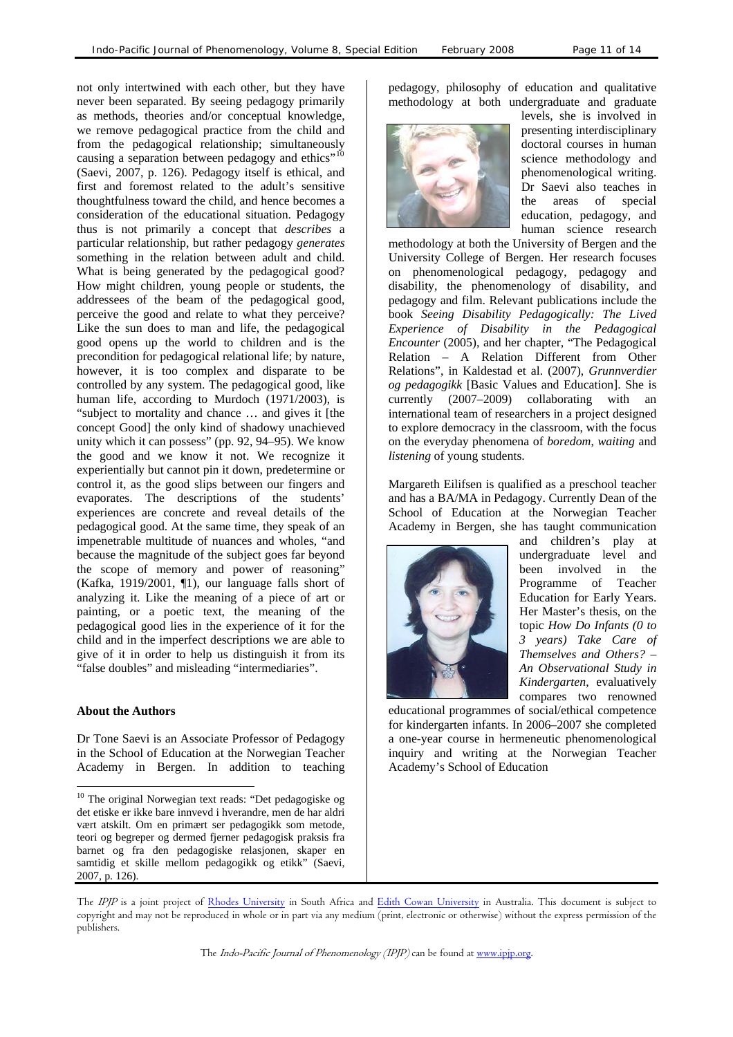not only intertwined with each other, but they have never been separated. By seeing pedagogy primarily as methods, theories and/or conceptual knowledge, we remove pedagogical practice from the child and from the pedagogical relationship; simultaneously causing a separation between pedagogy and ethics"<sup>[10](#page-10-0)</sup> (Saevi, 2007, p. 126). Pedagogy itself is ethical, and first and foremost related to the adult's sensitive thoughtfulness toward the child, and hence becomes a consideration of the educational situation. Pedagogy thus is not primarily a concept that *describes* a particular relationship, but rather pedagogy *generates* something in the relation between adult and child. What is being generated by the pedagogical good? How might children, young people or students, the addressees of the beam of the pedagogical good, perceive the good and relate to what they perceive? Like the sun does to man and life, the pedagogical good opens up the world to children and is the precondition for pedagogical relational life; by nature, however, it is too complex and disparate to be controlled by any system. The pedagogical good, like human life, according to Murdoch (1971/2003), is "subject to mortality and chance … and gives it [the concept Good] the only kind of shadowy unachieved unity which it can possess" (pp. 92, 94–95). We know the good and we know it not. We recognize it experientially but cannot pin it down, predetermine or control it, as the good slips between our fingers and evaporates. The descriptions of the students' experiences are concrete and reveal details of the pedagogical good. At the same time, they speak of an impenetrable multitude of nuances and wholes, "and because the magnitude of the subject goes far beyond the scope of memory and power of reasoning" (Kafka, 1919/2001, ¶1), our language falls short of analyzing it. Like the meaning of a piece of art or painting, or a poetic text, the meaning of the pedagogical good lies in the experience of it for the child and in the imperfect descriptions we are able to give of it in order to help us distinguish it from its "false doubles" and misleading "intermediaries".

#### **About the Authors**

 $\overline{a}$ 

Dr Tone Saevi is an Associate Professor of Pedagogy in the School of Education at the Norwegian Teacher Academy in Bergen. In addition to teaching pedagogy, philosophy of education and qualitative methodology at both undergraduate and graduate



levels, she is involved in presenting interdisciplinary doctoral courses in human science methodology and phenomenological writing. Dr Saevi also teaches in the areas of special education, pedagogy, and human science research

methodology at both the University of Bergen and the University College of Bergen. Her research focuses on phenomenological pedagogy, pedagogy and disability, the phenomenology of disability, and pedagogy and film. Relevant publications include the book *Seeing Disability Pedagogically: The Lived Experience of Disability in the Pedagogical Encounter* (2005), and her chapter, "The Pedagogical Relation – A Relation Different from Other Relations", in Kaldestad et al. (2007), *Grunnverdier og pedagogikk* [Basic Values and Education]. She is currently (2007–2009) collaborating with an international team of researchers in a project designed to explore democracy in the classroom, with the focus on the everyday phenomena of *boredom*, *waiting* and *listening* of young students.

Margareth Eilifsen is qualified as a preschool teacher and has a BA/MA in Pedagogy. Currently Dean of the School of Education at the Norwegian Teacher Academy in Bergen, she has taught communication



and children's play at undergraduate level and been involved in the Programme of Teacher Education for Early Years. Her Master's thesis, on the topic *How Do Infants (0 to 3 years) Take Care of Themselves and Others? – An Observational Study in Kindergarten*, evaluatively compares two renowned

educational programmes of social/ethical competence for kindergarten infants. In 2006–2007 she completed a one-year course in hermeneutic phenomenological inquiry and writing at the Norwegian Teacher Academy's School of Education

<span id="page-10-0"></span><sup>10</sup> The original Norwegian text reads: "Det pedagogiske og det etiske er ikke bare innvevd i hverandre, men de har aldri vært atskilt. Om en primært ser pedagogikk som metode, teori og begreper og dermed fjerner pedagogisk praksis fra barnet og fra den pedagogiske relasjonen, skaper en samtidig et skille mellom pedagogikk og etikk" (Saevi, 2007, p. 126).

The IPJP is a joint project of Rhodes University in South Africa and Edith Cowan University in Australia. This document is subject to copyright and may not be reproduced in whole or in part via any medium (print, electronic or otherwise) without the express permission of the publishers.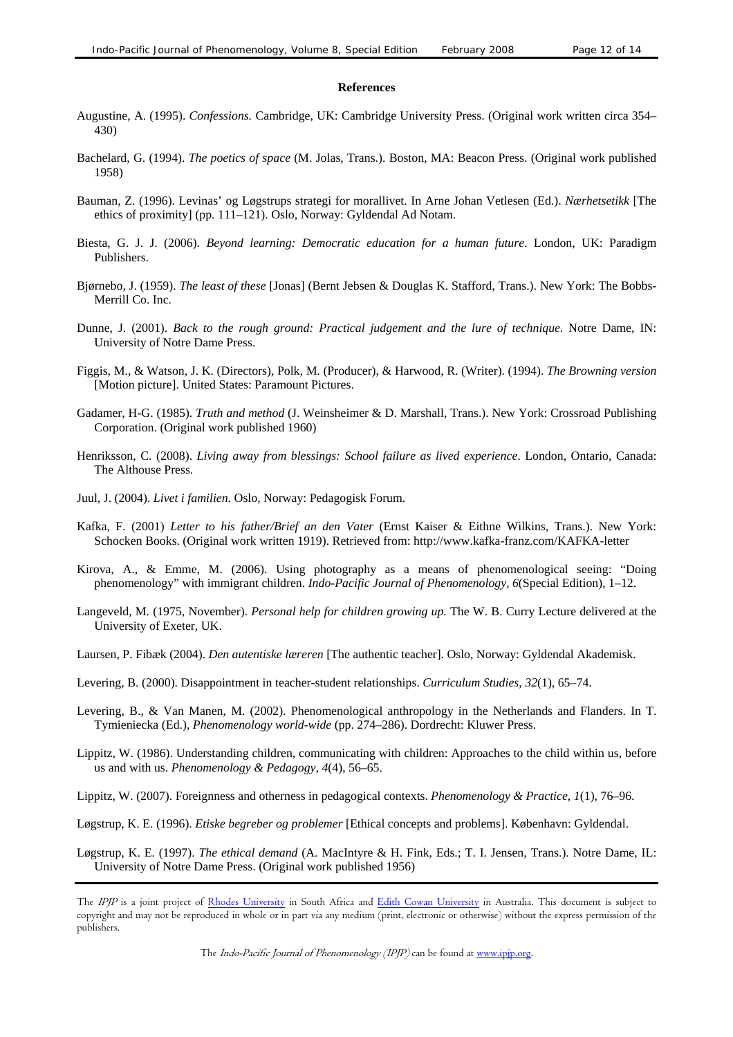#### **References**

- Augustine, A. (1995). *Confessions.* Cambridge, UK: Cambridge University Press. (Original work written circa 354– 430)
- Bachelard, G. (1994). *The poetics of space* (M. Jolas, Trans.). Boston, MA: Beacon Press. (Original work published 1958)
- Bauman, Z. (1996). Levinas' og Løgstrups strategi for morallivet. In Arne Johan Vetlesen (Ed.). *Nærhetsetikk* [The ethics of proximity] (pp. 111–121). Oslo, Norway: Gyldendal Ad Notam.
- Biesta, G. J. J. (2006). *Beyond learning: Democratic education for a human future*. London, UK: Paradigm Publishers.
- Bjørnebo, J. (1959). *The least of these* [Jonas] (Bernt Jebsen & Douglas K. Stafford, Trans.). New York: The Bobbs-Merrill Co. Inc.
- Dunne, J. (2001). *Back to the rough ground: Practical judgement and the lure of technique*. Notre Dame, IN: University of Notre Dame Press.
- Figgis, M., & Watson, J. K. (Directors), Polk, M. (Producer), & Harwood, R. (Writer). (1994). *The Browning version* [Motion picture]. United States: Paramount Pictures.
- Gadamer, H-G. (1985). *Truth and method* (J. Weinsheimer & D. Marshall, Trans.). New York: Crossroad Publishing Corporation. (Original work published 1960)
- Henriksson, C. (2008). *Living away from blessings: School failure as lived experience*. London, Ontario, Canada: The Althouse Press.
- Juul, J. (2004). *Livet i familien.* Oslo, Norway: Pedagogisk Forum.
- Kafka, F. (2001) *Letter to his father/Brief an den Vater* (Ernst Kaiser & Eithne Wilkins, Trans.). New York: Schocken Books. (Original work written 1919). Retrieved from: http://www.kafka-franz.com/KAFKA-letter
- Kirova, A., & Emme, M. (2006). Using photography as a means of phenomenological seeing: "Doing phenomenology" with immigrant children. *Indo-Pacific Journal of Phenomenology, 6*(Special Edition), 1–12.
- Langeveld, M. (1975, November). *Personal help for children growing up.* The W. B. Curry Lecture delivered at the University of Exeter, UK.
- Laursen, P. Fibæk (2004). *Den autentiske læreren* [The authentic teacher]. Oslo, Norway: Gyldendal Akademisk.
- Levering, B. (2000). Disappointment in teacher-student relationships. *Curriculum Studies, 32*(1), 65–74.
- Levering, B., & Van Manen, M. (2002). Phenomenological anthropology in the Netherlands and Flanders. In T. Tymieniecka (Ed.), *Phenomenology world-wide* (pp. 274–286). Dordrecht: Kluwer Press.
- Lippitz, W. (1986). Understanding children, communicating with children: Approaches to the child within us, before us and with us. *Phenomenology & Pedagogy*, *4*(4), 56–65.
- Lippitz, W. (2007). Foreignness and otherness in pedagogical contexts. *Phenomenology & Practice*, *1*(1), 76–96.
- Løgstrup, K. E. (1996). *Etiske begreber og problemer* [Ethical concepts and problems]. København: Gyldendal.
- Løgstrup, K. E. (1997). *The ethical demand* (A. MacIntyre & H. Fink, Eds.; T. I. Jensen, Trans.). Notre Dame, IL: University of Notre Dame Press. (Original work published 1956)

The IPJP is a joint project of Rhodes University in South Africa and Edith Cowan University in Australia. This document is subject to copyright and may not be reproduced in whole or in part via any medium (print, electronic or otherwise) without the express permission of the publishers.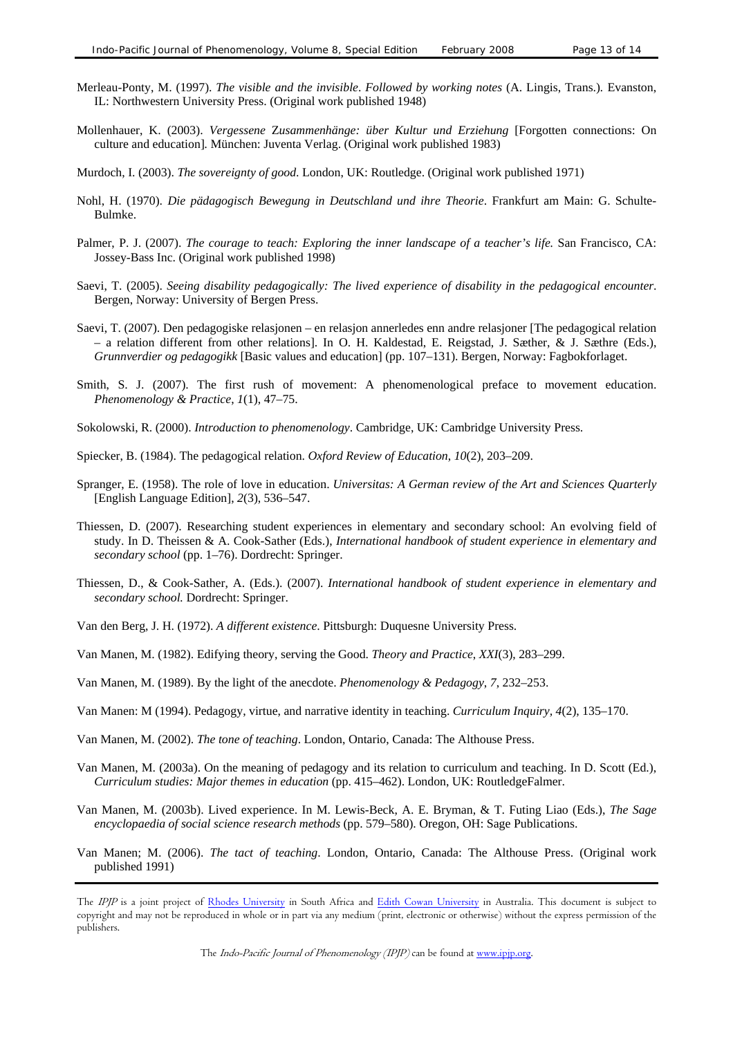- Merleau-Ponty, M. (1997). *The visible and the invisible*. *Followed by working notes* (A. Lingis, Trans.)*.* Evanston, IL: Northwestern University Press. (Original work published 1948)
- Mollenhauer, K. (2003). *Vergessene* Z*usammenhänge: über Kultur und Erziehung* [Forgotten connections: On culture and education]*.* München: Juventa Verlag. (Original work published 1983)
- Murdoch, I. (2003). *The sovereignty of good*. London, UK: Routledge. (Original work published 1971)
- Nohl, H. (1970). *Die pädagogisch Bewegung in Deutschland und ihre Theorie*. Frankfurt am Main: G. Schulte-Bulmke.
- Palmer, P. J. (2007). *The courage to teach: Exploring the inner landscape of a teacher's life.* San Francisco, CA: Jossey-Bass Inc. (Original work published 1998)
- Saevi, T. (2005). *Seeing disability pedagogically: The lived experience of disability in the pedagogical encounter*. Bergen, Norway: University of Bergen Press.
- Saevi, T. (2007). Den pedagogiske relasjonen en relasjon annerledes enn andre relasjoner [The pedagogical relation – a relation different from other relations]. In O. H. Kaldestad, E. Reigstad, J. Sæther, & J. Sæthre (Eds.), *Grunnverdier og pedagogikk* [Basic values and education] (pp. 107–131). Bergen, Norway: Fagbokforlaget.
- Smith, S. J. (2007). The first rush of movement: A phenomenological preface to movement education. *Phenomenology & Practice*, *1*(1), 47–75.
- Sokolowski, R. (2000). *Introduction to phenomenology*. Cambridge, UK: Cambridge University Press.
- Spiecker, B. (1984). The pedagogical relation. *Oxford Review of Education*, *10*(2), 203–209.
- Spranger, E. (1958). The role of love in education. *Universitas: A German review of the Art and Sciences Quarterly* [English Language Edition], *2*(3), 536–547.
- Thiessen, D. (2007). Researching student experiences in elementary and secondary school: An evolving field of study. In D. Theissen & A. Cook-Sather (Eds.), *International handbook of student experience in elementary and secondary school* (pp. 1–76). Dordrecht: Springer.
- Thiessen, D., & Cook-Sather, A. (Eds.). (2007). *International handbook of student experience in elementary and secondary school.* Dordrecht: Springer.
- Van den Berg, J. H. (1972). *A different existence*. Pittsburgh: Duquesne University Press.
- Van Manen, M. (1982). Edifying theory, serving the Good. *Theory and Practice*, *XXI*(3), 283–299.
- Van Manen, M. (1989). By the light of the anecdote. *Phenomenology & Pedagogy*, *7*, 232–253.
- Van Manen: M (1994). Pedagogy, virtue, and narrative identity in teaching. *Curriculum Inquiry, 4*(2), 135–170.

Van Manen, M. (2002). *The tone of teaching*. London, Ontario, Canada: The Althouse Press.

- Van Manen, M. (2003a). On the meaning of pedagogy and its relation to curriculum and teaching. In D. Scott (Ed.), *Curriculum studies: Major themes in education* (pp. 415–462). London, UK: RoutledgeFalmer.
- Van Manen, M. (2003b). Lived experience. In M. Lewis-Beck, A. E. Bryman, & T. Futing Liao (Eds.), *The Sage encyclopaedia of social science research methods* (pp. 579–580). Oregon, OH: Sage Publications.
- Van Manen; M. (2006). *The tact of teaching*. London, Ontario, Canada: The Althouse Press. (Original work published 1991)

The IPJP is a joint project of Rhodes University in South Africa and Edith Cowan University in Australia. This document is subject to copyright and may not be reproduced in whole or in part via any medium (print, electronic or otherwise) without the express permission of the publishers.